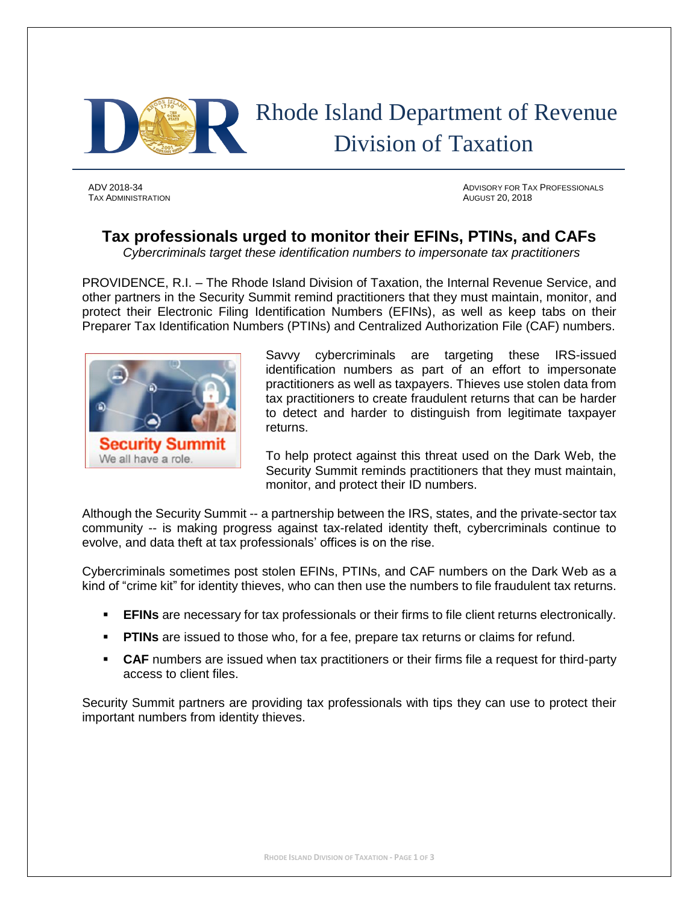

TAX ADMINISTRATION AUGUST 20, 2018

ADV 2018-34 ADVISORY FOR TAX PROFESSIONALS

# **Tax professionals urged to monitor their EFINs, PTINs, and CAFs**

*Cybercriminals target these identification numbers to impersonate tax practitioners*

PROVIDENCE, R.I. – The Rhode Island Division of Taxation, the Internal Revenue Service, and other partners in the Security Summit remind practitioners that they must maintain, monitor, and protect their Electronic Filing Identification Numbers (EFINs), as well as keep tabs on their Preparer Tax Identification Numbers (PTINs) and Centralized Authorization File (CAF) numbers.



Savvy cybercriminals are targeting these IRS-issued identification numbers as part of an effort to impersonate practitioners as well as taxpayers. Thieves use stolen data from tax practitioners to create fraudulent returns that can be harder to detect and harder to distinguish from legitimate taxpayer returns.

To help protect against this threat used on the Dark Web, the Security Summit reminds practitioners that they must maintain, monitor, and protect their ID numbers.

Although the Security Summit -- a partnership between the IRS, states, and the private-sector tax community -- is making progress against tax-related identity theft, cybercriminals continue to evolve, and data theft at tax professionals' offices is on the rise.

Cybercriminals sometimes post stolen EFINs, PTINs, and CAF numbers on the Dark Web as a kind of "crime kit" for identity thieves, who can then use the numbers to file fraudulent tax returns.

- **EFINs** are necessary for tax professionals or their firms to file client returns electronically.
- **PTINs** are issued to those who, for a fee, prepare tax returns or claims for refund.
- **CAF** numbers are issued when tax practitioners or their firms file a request for third-party access to client files.

Security Summit partners are providing tax professionals with tips they can use to protect their important numbers from identity thieves.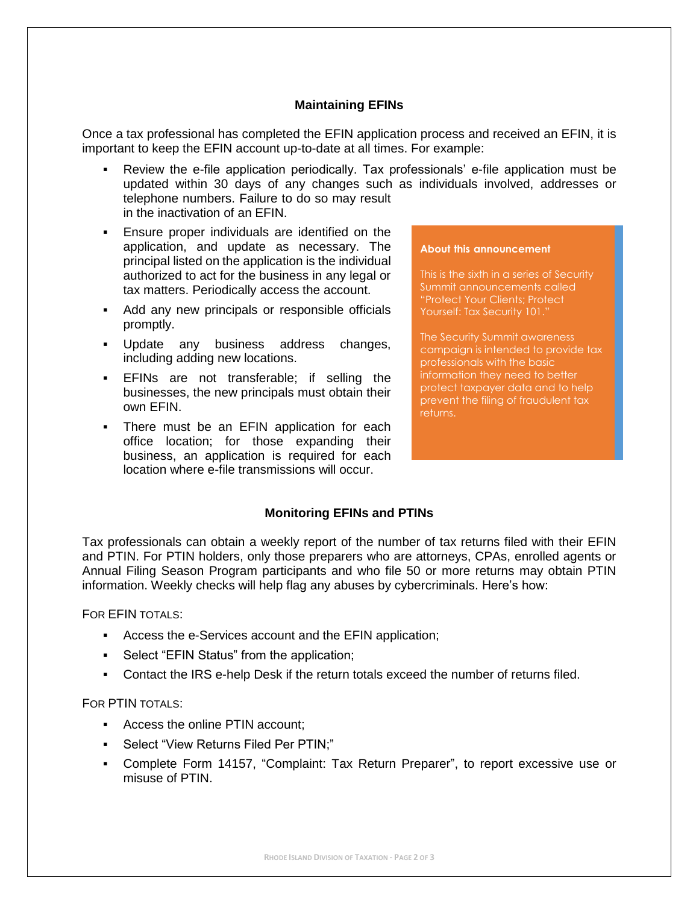## **Maintaining EFINs**

Once a tax professional has completed the EFIN application process and received an EFIN, it is important to keep the EFIN account up-to-date at all times. For example:

- Review the e-file application periodically. Tax professionals' e-file application must be updated within 30 days of any changes such as individuals involved, addresses or telephone numbers. Failure to do so may result in the inactivation of an EFIN.
- Ensure proper individuals are identified on the application, and update as necessary. The principal listed on the application is the individual authorized to act for the business in any legal or tax matters. Periodically access the account.
- Add any new principals or responsible officials promptly.
- Update any business address changes, including adding new locations.
- **EFINs** are not transferable; if selling the businesses, the new principals must obtain their own EFIN.
- **•** There must be an EFIN application for each office location; for those expanding their business, an application is required for each location where e-file transmissions will occur.

#### "Protect Your Clients; Protect Yourself: Tax Security 101."

**About this announcement**

The Security Summit awareness campaign is intended to provide tax professionals with the basic information they need to better protect taxpayer data and to help prevent the filing of fraudulent tax returns.

This is the sixth in a series of Security Summit announcements called

# **Monitoring EFINs and PTINs**

Tax professionals can obtain a weekly report of the number of tax returns filed with their EFIN and PTIN. For PTIN holders, only those preparers who are attorneys, CPAs, enrolled agents or Annual Filing Season Program participants and who file 50 or more returns may obtain PTIN information. Weekly checks will help flag any abuses by cybercriminals. Here's how:

FOR EFIN TOTALS:

- Access the e-Services account and the EFIN application;
- **•** Select "EFIN Status" from the application;
- Contact the IRS e-help Desk if the return totals exceed the number of returns filed.

FOR PTIN TOTALS:

- Access the online PTIN account;
- Select "View Returns Filed Per PTIN;"
- Complete Form 14157, "Complaint: Tax Return Preparer", to report excessive use or misuse of PTIN.